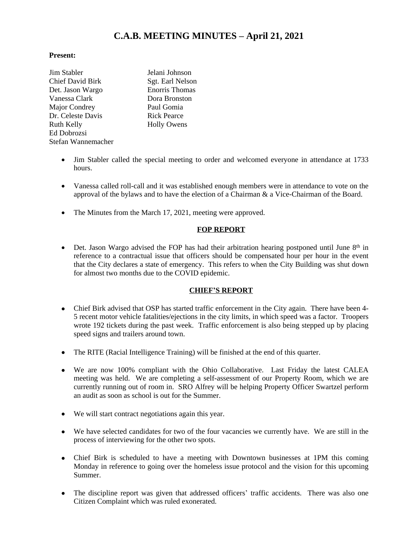# **C.A.B. MEETING MINUTES – April 21, 2021**

#### **Present:**

| Jim Stabler             | Jelani Johnson        |
|-------------------------|-----------------------|
| <b>Chief David Birk</b> | Sgt. Earl Nelson      |
| Det. Jason Wargo        | <b>Enorris Thomas</b> |
| Vanessa Clark           | Dora Bronston         |
| Major Condrey           | Paul Gomia            |
| Dr. Celeste Davis       | <b>Rick Pearce</b>    |
| <b>Ruth Kelly</b>       | <b>Holly Owens</b>    |
| Ed Dobrozsi             |                       |
| Stefan Wannemacher      |                       |
|                         |                       |

- Jim Stabler called the special meeting to order and welcomed everyone in attendance at 1733 hours.
- Vanessa called roll-call and it was established enough members were in attendance to vote on the approval of the bylaws and to have the election of a Chairman & a Vice-Chairman of the Board.
- The Minutes from the March 17, 2021, meeting were approved.

## **FOP REPORT**

• Det. Jason Wargo advised the FOP has had their arbitration hearing postponed until June  $8<sup>th</sup>$  in reference to a contractual issue that officers should be compensated hour per hour in the event that the City declares a state of emergency. This refers to when the City Building was shut down for almost two months due to the COVID epidemic.

## **CHIEF'S REPORT**

- Chief Birk advised that OSP has started traffic enforcement in the City again. There have been 4- 5 recent motor vehicle fatalities/ejections in the city limits, in which speed was a factor. Troopers wrote 192 tickets during the past week. Traffic enforcement is also being stepped up by placing speed signs and trailers around town.
- The RITE (Racial Intelligence Training) will be finished at the end of this quarter.
- We are now 100% compliant with the Ohio Collaborative. Last Friday the latest CALEA meeting was held. We are completing a self-assessment of our Property Room, which we are currently running out of room in. SRO Alfrey will be helping Property Officer Swartzel perform an audit as soon as school is out for the Summer.
- We will start contract negotiations again this year.
- We have selected candidates for two of the four vacancies we currently have. We are still in the process of interviewing for the other two spots.
- Chief Birk is scheduled to have a meeting with Downtown businesses at 1PM this coming Monday in reference to going over the homeless issue protocol and the vision for this upcoming Summer.
- The discipline report was given that addressed officers' traffic accidents. There was also one Citizen Complaint which was ruled exonerated.